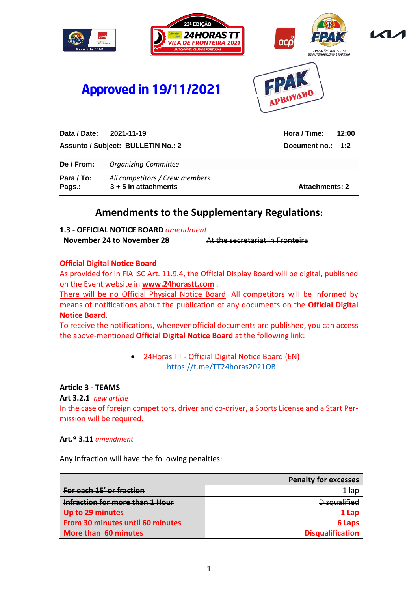

| De / From:           | <b>Organizing Committee</b>                              |                       |
|----------------------|----------------------------------------------------------|-----------------------|
| Para / To:<br>Pags.: | All competitors / Crew members<br>$3 + 5$ in attachments | <b>Attachments: 2</b> |

# **Amendments to the Supplementary Regulations:**

**1.3 - OFFICIAL NOTICE BOARD** *amendment* **November 24 to November 28** At the secretariat in Fronteira

#### **Official Digital Notice Board**

As provided for in FIA ISC Art. 11.9.4, the Official Display Board will be digital, published on the Event website in **[www.24horastt.com](http://www.24horastt.com/)** .

There will be no Official Physical Notice Board. All competitors will be informed by means of notifications about the publication of any documents on the **Official Digital Notice Board**.

To receive the notifications, whenever official documents are published, you can access the above-mentioned **Official Digital Notice Board** at the following link:

> • 24Horas TT - Official Digital Notice Board (EN) <https://t.me/TT24horas2021OB>

### **Article 3 - TEAMS**

**Art 3.2.1** *new article*

In the case of foreign competitors, driver and co-driver, a Sports License and a Start Permission will be required.

#### **Art.º 3.11** *amendment*

…

Any infraction will have the following penalties:

|                                         | <b>Penalty for excesses</b> |
|-----------------------------------------|-----------------------------|
| For each 15' or fraction                | <del>1 lap</del>            |
| Infraction for more than 1 Hour         | <b>Disqualified</b>         |
| Up to 29 minutes                        | 1 Lap                       |
| <b>From 30 minutes until 60 minutes</b> | 6 Laps                      |
| More than 60 minutes                    | <b>Disqualification</b>     |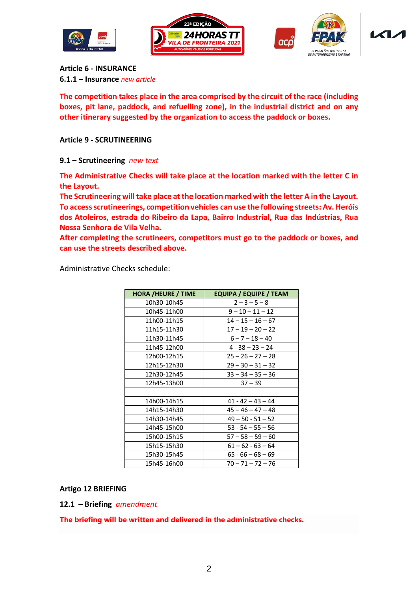







**Article 6 - INSURANCE 6.1.1 – Insurance** *new article*

**The competition takes place in the area comprised by the circuit of the race (including boxes, pit lane, paddock, and refuelling zone), in the industrial district and on any other itinerary suggested by the organization to access the paddock or boxes.**

### **Article 9 - SCRUTINEERING**

**9.1 – Scrutineering** *new text*

**The Administrative Checks will take place at the location marked with the letter C in the Layout.**

**The Scrutineering will take place at the location marked with the letter A in the Layout. To access scrutineerings, competition vehicles can use the following streets: Av. Heróis dos Atoleiros, estrada do Ribeiro da Lapa, Bairro Industrial, Rua das Indústrias, Rua Nossa Senhora de Vila Velha.**

**After completing the scrutineers, competitors must go to the paddock or boxes, and can use the streets described above.**

Administrative Checks schedule:

| <b>HORA /HEURE / TIME</b> | <b>EQUIPA / EQUIPE / TEAM</b> |
|---------------------------|-------------------------------|
| 10h30-10h45               | $2 - 3 - 5 - 8$               |
| 10h45-11h00               | $9 - 10 - 11 - 12$            |
| 11h00-11h15               | $14 - 15 - 16 - 67$           |
| 11h15-11h30               | $17 - 19 - 20 - 22$           |
| 11h30-11h45               | $6 - 7 - 18 - 40$             |
| 11h45-12h00               | $4 - 38 - 23 - 24$            |
| 12h00-12h15               | $25 - 26 - 27 - 28$           |
| 12h15-12h30               | $29 - 30 - 31 - 32$           |
| 12h30-12h45               | $33 - 34 - 35 - 36$           |
| 12h45-13h00               | $37 - 39$                     |
|                           |                               |
| 14h00-14h15               | $41 - 42 - 43 - 44$           |
| 14h15-14h30               | $45 - 46 - 47 - 48$           |
| 14h30-14h45               | $49 - 50 - 51 - 52$           |
| 14h45-15h00               | $53 - 54 - 55 - 56$           |
| 15h00-15h15               | $57 - 58 - 59 - 60$           |
| 15h15-15h30               | $61 - 62 - 63 - 64$           |
| 15h30-15h45               | $65 - 66 - 68 - 69$           |
| 15h45-16h00               | $70 - 71 - 72 - 76$           |

**Artigo 12 BRIEFING**

**12.1 – Briefing** *amendment*

**The briefing will be written and delivered in the administrative checks.**